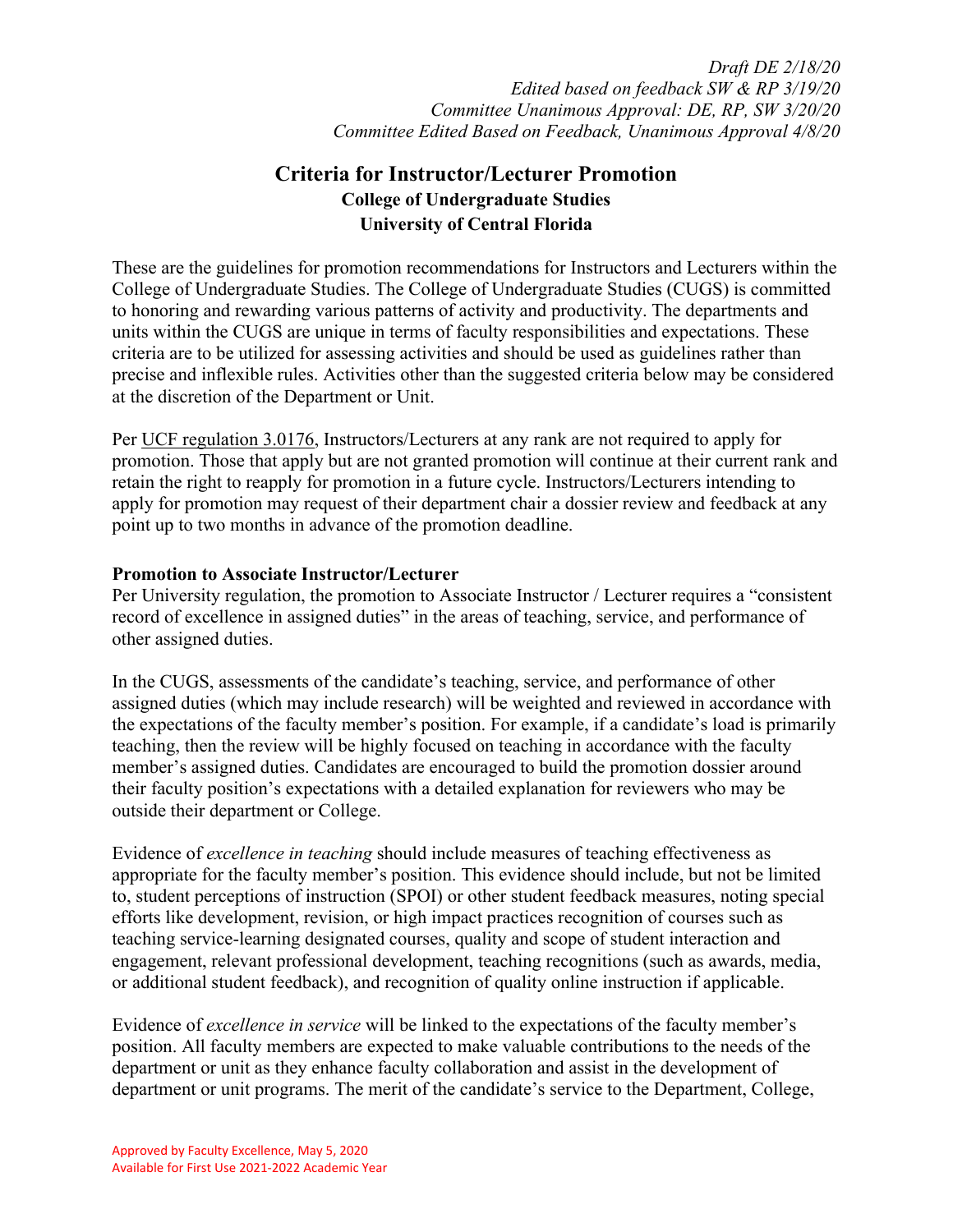*Draft DE 2/18/20 Edited based on feedback SW & RP 3/19/20 Committee Unanimous Approval: DE, RP, SW 3/20/20 Committee Edited Based on Feedback, Unanimous Approval 4/8/20* 

## **Criteria for Instructor/Lecturer Promotion College of Undergraduate Studies University of Central Florida**

These are the guidelines for promotion recommendations for Instructors and Lecturers within the College of Undergraduate Studies. The College of Undergraduate Studies (CUGS) is committed to honoring and rewarding various patterns of activity and productivity. The departments and units within the CUGS are unique in terms of faculty responsibilities and expectations. These criteria are to be utilized for assessing activities and should be used as guidelines rather than precise and inflexible rules. Activities other than the suggested criteria below may be considered at the discretion of the Department or Unit.

Per [UCF regulation](https://regulations.ucf.edu/chapter3/documents/3.0176InstructorLecturerPromotionFINALRevised_July16.pdf) 3.0176, Instructors/Lecturers at any rank are not required to apply for promotion. Those that apply but are not granted promotion will continue at their current rank and retain the right to reapply for promotion in a future cycle. Instructors/Lecturers intending to apply for promotion may request of their department chair a dossier review and feedback at any point up to two months in advance of the promotion deadline.

## **Promotion to Associate Instructor/Lecturer**

Per University regulation, the promotion to Associate Instructor / Lecturer requires a "consistent record of excellence in assigned duties" in the areas of teaching, service, and performance of other assigned duties.

In the CUGS, assessments of the candidate's teaching, service, and performance of other assigned duties (which may include research) will be weighted and reviewed in accordance with the expectations of the faculty member's position. For example, if a candidate's load is primarily teaching, then the review will be highly focused on teaching in accordance with the faculty member's assigned duties. Candidates are encouraged to build the promotion dossier around their faculty position's expectations with a detailed explanation for reviewers who may be outside their department or College.

Evidence of *excellence in teaching* should include measures of teaching effectiveness as appropriate for the faculty member's position. This evidence should include, but not be limited to, student perceptions of instruction (SPOI) or other student feedback measures, noting special efforts like development, revision, or high impact practices recognition of courses such as teaching service-learning designated courses, quality and scope of student interaction and engagement, relevant professional development, teaching recognitions (such as awards, media, or additional student feedback), and recognition of quality online instruction if applicable.

Evidence of *excellence in service* will be linked to the expectations of the faculty member's position. All faculty members are expected to make valuable contributions to the needs of the department or unit as they enhance faculty collaboration and assist in the development of department or unit programs. The merit of the candidate's service to the Department, College,